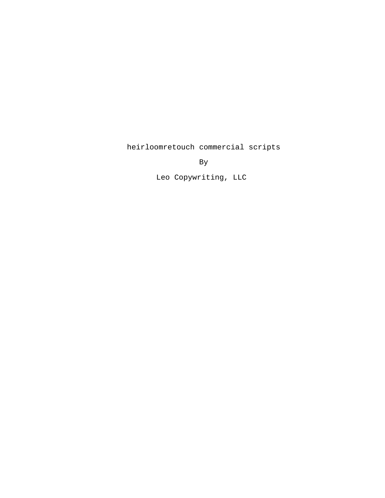heirloomretouch commercial scripts

By

Leo Copywriting, LLC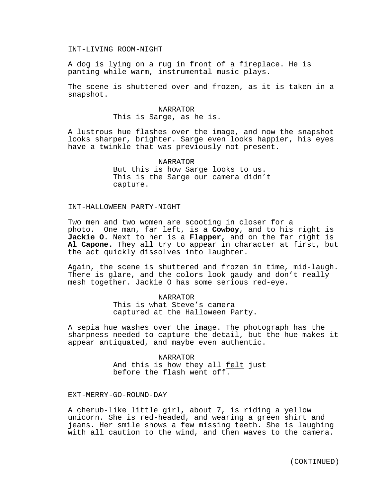## INT-LIVING ROOM-NIGHT

A dog is lying on a rug in front of a fireplace. He is panting while warm, instrumental music plays.

The scene is shuttered over and frozen, as it is taken in a snapshot.

## NARRATOR This is Sarge, as he is.

A lustrous hue flashes over the image, and now the snapshot looks sharper, brighter. Sarge even looks happier, his eyes have a twinkle that was previously not present.

> NARRATOR But this is how Sarge looks to us. This is the Sarge our camera didn't capture.

## INT-HALLOWEEN PARTY-NIGHT

Two men and two women are scooting in closer for a photo. One man, far left, is a **Cowboy**, and to his right is **Jackie O**. Next to her is a **Flapper**, and on the far right is **Al Capone.** They all try to appear in character at first, but the act quickly dissolves into laughter.

Again, the scene is shuttered and frozen in time, mid-laugh. There is glare, and the colors look gaudy and don't really mesh together. Jackie O has some serious red-eye.

## NARRATOR

This is what Steve's camera captured at the Halloween Party.

A sepia hue washes over the image. The photograph has the sharpness needed to capture the detail, but the hue makes it appear antiquated, and maybe even authentic.

> NARRATOR And this is how they all felt just before the flash went off.

EXT-MERRY-GO-ROUND-DAY

A cherub-like little girl, about 7, is riding a yellow unicorn. She is red-headed, and wearing a green shirt and jeans. Her smile shows a few missing teeth. She is laughing with all caution to the wind, and then waves to the camera.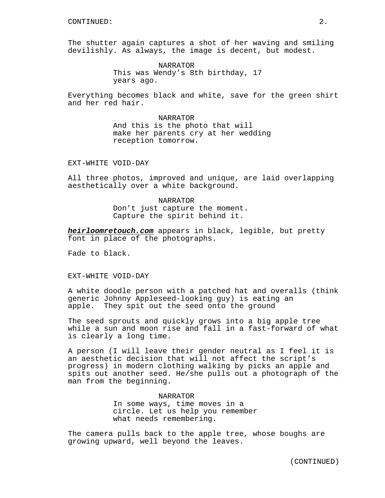The shutter again captures a shot of her waving and smiling devilishly. As always, the image is decent, but modest.

> NARRATOR This was Wendy's 8th birthday, 17 years ago.

Everything becomes black and white, save for the green shirt and her red hair.

> NARRATOR And this is the photo that will make her parents cry at her wedding reception tomorrow.

EXT-WHITE VOID-DAY

All three photos, improved and unique, are laid overlapping aesthetically over a white background.

> NARRATOR Don't just capture the moment. Capture the spirit behind it.

**heirloomretouch.com** appears in black, legible, but pretty font in place of the photographs.

Fade to black.

EXT-WHITE VOID-DAY

A white doodle person with a patched hat and overalls (think generic Johnny Appleseed-looking guy) is eating an apple. They spit out the seed onto the ground

The seed sprouts and quickly grows into a big apple tree while a sun and moon rise and fall in a fast-forward of what is clearly a long time.

A person (I will leave their gender neutral as I feel it is an aesthetic decision that will not affect the script's progress) in modern clothing walking by picks an apple and spits out another seed. He/she pulls out a photograph of the man from the beginning.

> NARRATOR In some ways, time moves in a circle. Let us help you remember what needs remembering.

The camera pulls back to the apple tree, whose boughs are growing upward, well beyond the leaves.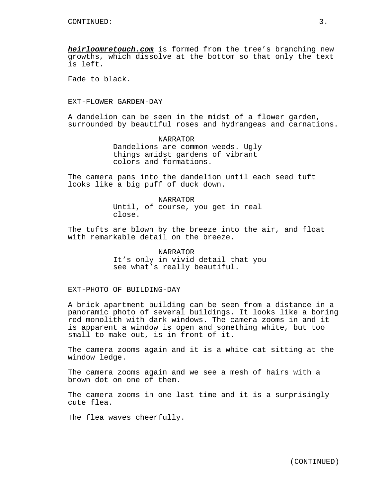**heirloomretouch.com** is formed from the tree's branching new growths, which dissolve at the bottom so that only the text is left.

Fade to black.

EXT-FLOWER GARDEN-DAY

A dandelion can be seen in the midst of a flower garden, surrounded by beautiful roses and hydrangeas and carnations.

> NARRATOR Dandelions are common weeds. Ugly things amidst gardens of vibrant colors and formations.

The camera pans into the dandelion until each seed tuft looks like a big puff of duck down.

> NARRATOR Until, of course, you get in real close.

The tufts are blown by the breeze into the air, and float with remarkable detail on the breeze.

> NARRATOR It's only in vivid detail that you see what's really beautiful.

EXT-PHOTO OF BUILDING-DAY

A brick apartment building can be seen from a distance in a panoramic photo of several buildings. It looks like a boring red monolith with dark windows. The camera zooms in and it is apparent a window is open and something white, but too small to make out, is in front of it.

The camera zooms again and it is a white cat sitting at the window ledge.

The camera zooms again and we see a mesh of hairs with a brown dot on one of them.

The camera zooms in one last time and it is a surprisingly cute flea.

The flea waves cheerfully.